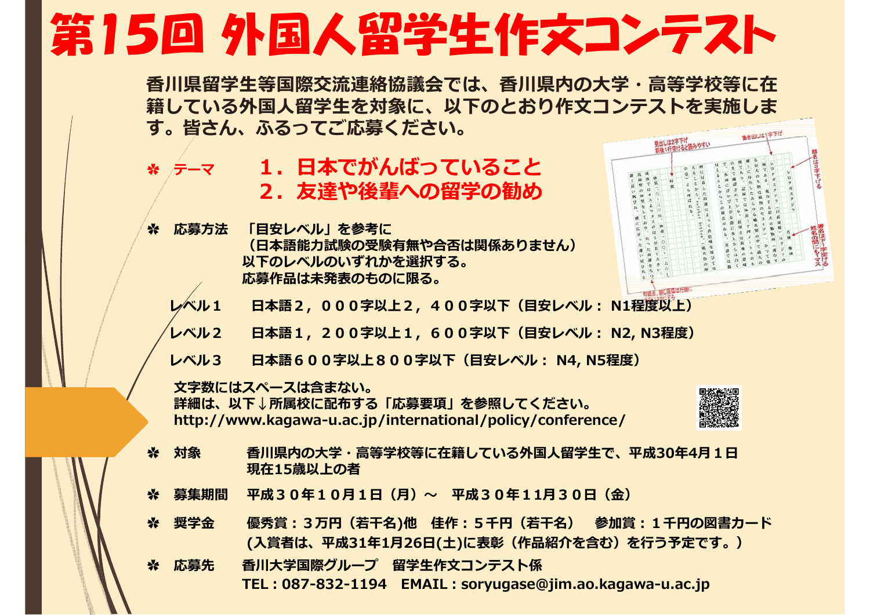## 第15回 外国人留学生作文コンテスト

**⾹川県留学⽣等国際交流連絡協議会では、⾹川県内の⼤学・⾼等学校等に在 籍している外国⼈留学⽣を対象に、以下のとおり作⽂コンテストを実施しま す。皆さん、ふるってご応募ください。**

- ※ ケーマー **1. 日本でがんばっていること** 2. 友達や後輩への留学の勧め
- **✿ 応募⽅法 「⽬安レベル」を参考に (⽇本語能⼒試験の受験有無や合否は関係ありません)以下のレベルのいずれかを選択する。応募作品は未発表のものに限る。**



- **レベル1 ⽇本語2,000字以上2,400字以下(⽬安レベル: N1程度以上)**
- **レベル2 ⽇本語1,200字以上1,600字以下(⽬安レベル: N2, N3程度)**
- **レベル3 ⽇本語600字以上800字以下(⽬安レベル: N4, N5程度)**

**⽂字数にはスペースは含まない。**

**詳細は、以下↓所属校に配布する「応募要項」を参照してください。 http://www.kagawa-u.ac.jp/international/policy/conference/**



- **※ 対象 香川県内の大学・高等学校等に在籍している外国人留学生で、平成30年4月1日 現在15歳以上の者**
- **✿ 募集期間 平成30年10⽉1⽇(⽉)〜 平成30年11⽉30⽇(⾦)**
- **✿ 奨学⾦ 優秀賞:3万円(若⼲名)他 佳作:5千円(若⼲名) 参加賞:1千円の図書カード (⼊賞者は、平成31年1⽉26⽇(⼟)に表彰(作品紹介を含む)を⾏う予定です。)**
- **✿ 応募先 ⾹川⼤学国際グループ 留学⽣作⽂コンテスト係 TEL:087-832-1194 EMAIL:soryugase@jim.ao.kagawa-u.ac.jp**